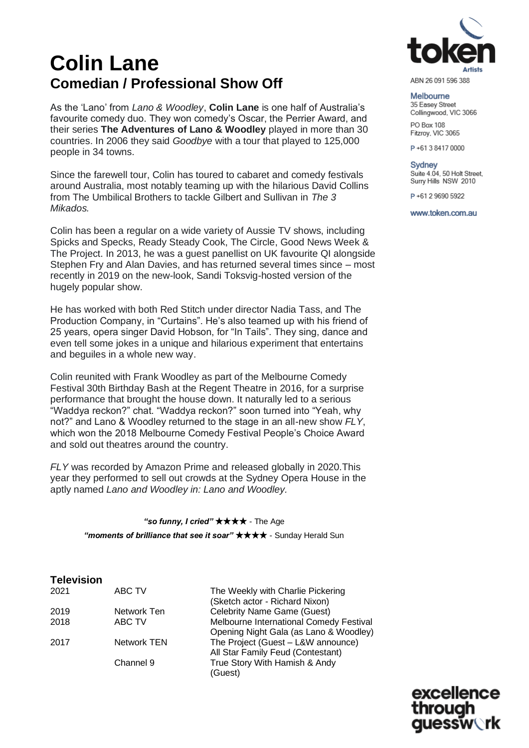# **Colin Lane Comedian / Professional Show Off**

As the 'Lano' from *Lano & Woodley*, **Colin Lane** is one half of Australia's favourite comedy duo. They won comedy's Oscar, the Perrier Award, and their series **The Adventures of Lano & Woodley** played in more than 30 countries. In 2006 they said *Goodbye* with a tour that played to 125,000 people in 34 towns.

Since the farewell tour, Colin has toured to cabaret and comedy festivals around Australia, most notably teaming up with the hilarious David Collins from The Umbilical Brothers to tackle Gilbert and Sullivan in *The 3 Mikados.*

Colin has been a regular on a wide variety of Aussie TV shows, including Spicks and Specks, Ready Steady Cook, The Circle, Good News Week & The Project. In 2013, he was a guest panellist on UK favourite QI alongside Stephen Fry and Alan Davies, and has returned several times since – most recently in 2019 on the new-look, Sandi Toksvig-hosted version of the hugely popular show.

He has worked with both Red Stitch under director Nadia Tass, and The Production Company, in "Curtains". He's also teamed up with his friend of 25 years, opera singer David Hobson, for "In Tails". They sing, dance and even tell some jokes in a unique and hilarious experiment that entertains and beguiles in a whole new way.

Colin reunited with Frank Woodley as part of the Melbourne Comedy Festival 30th Birthday Bash at the Regent Theatre in 2016, for a surprise performance that brought the house down. It naturally led to a serious "Waddya reckon?" chat. "Waddya reckon?" soon turned into "Yeah, why not?" and Lano & Woodley returned to the stage in an all-new show *FLY*, which won the 2018 Melbourne Comedy Festival People's Choice Award and sold out theatres around the country.

*FLY* was recorded by Amazon Prime and released globally in 2020.This year they performed to sell out crowds at the Sydney Opera House in the aptly named *Lano and Woodley in: Lano and Woodley.*

> *"so funny, I cried"* ★★★★ - The Age *"moments of brilliance that see it soar"* ★★★★ - Sunday Herald Sun

# **Television**

| ZUZT         | ABU IV                |
|--------------|-----------------------|
| 2019<br>2018 | Network Ten<br>ABC TV |
| 2017         | <b>Network TEN</b>    |
|              | Channel 9             |
|              |                       |

ABC TV The Weekly with Charlie Pickering (Sketch actor - Richard Nixon) Celebrity Name Game (Guest) Melbourne International Comedy Festival Opening Night Gala (as Lano & Woodley) The Project (Guest – L&W announce) All Star Family Feud (Contestant) True Story With Hamish & Andy (Guest)



ABN 26 091 596 388

### Melbourne 35 Easey Street Collingwood, VIC 3066

PO Box 108 Fitzroy, VIC 3065

P+61384170000

Sydney Suite 4.04, 50 Holt Street, Surry Hills NSW 2010

P+61 2 9690 5922

www.token.com.au

excellence through guessw∖rk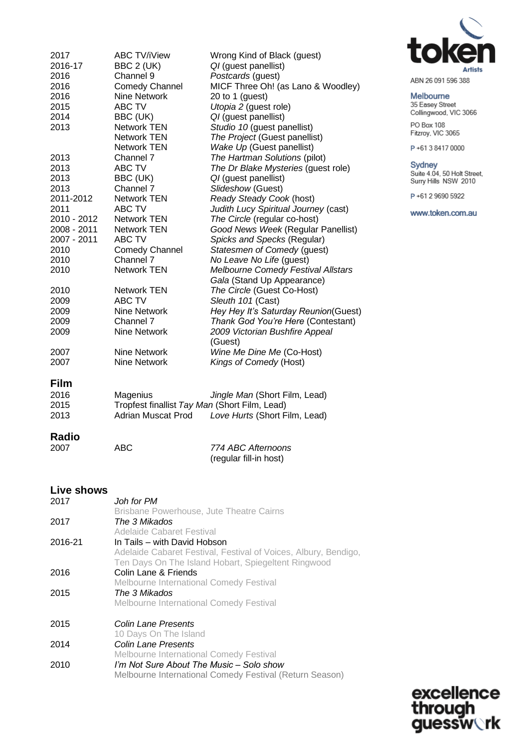| 2017<br>2016-17<br>2016<br>2016<br>2016<br>2015<br>2014<br>2013 | <b>ABC TV/iView</b><br>BBC 2 (UK)<br>Channel 9<br><b>Comedy Channel</b><br>Nine Network<br><b>ABC TV</b><br>BBC (UK)<br><b>Network TEN</b> | Wrong Kind of Black (guest)<br>QI (quest panellist)<br>Postcards (guest)<br>MICF Three Oh! (as Lano & Woodley)<br>20 to 1 (guest)<br>Utopia 2 (guest role)<br>QI (guest panellist) |
|-----------------------------------------------------------------|--------------------------------------------------------------------------------------------------------------------------------------------|------------------------------------------------------------------------------------------------------------------------------------------------------------------------------------|
|                                                                 | <b>Network TEN</b>                                                                                                                         | Studio 10 (guest panellist)<br>The Project (Guest panellist)                                                                                                                       |
|                                                                 | Network TEN                                                                                                                                | Wake Up (Guest panellist)                                                                                                                                                          |
| 2013                                                            | Channel 7                                                                                                                                  | The Hartman Solutions (pilot)                                                                                                                                                      |
| 2013                                                            | ABC TV                                                                                                                                     | The Dr Blake Mysteries (quest role)                                                                                                                                                |
| 2013<br>2013                                                    | BBC (UK)<br>Channel 7                                                                                                                      | QI (guest panellist)<br>Slideshow (Guest)                                                                                                                                          |
| 2011-2012                                                       | <b>Network TEN</b>                                                                                                                         | Ready Steady Cook (host)                                                                                                                                                           |
| 2011                                                            | <b>ABC TV</b>                                                                                                                              | Judith Lucy Spiritual Journey (cast)                                                                                                                                               |
| 2010 - 2012                                                     | <b>Network TEN</b>                                                                                                                         | The Circle (regular co-host)                                                                                                                                                       |
| 2008 - 2011                                                     | <b>Network TEN</b>                                                                                                                         | Good News Week (Regular Panellist)                                                                                                                                                 |
| 2007 - 2011                                                     | ABC TV                                                                                                                                     | Spicks and Specks (Regular)                                                                                                                                                        |
| 2010                                                            | Comedy Channel                                                                                                                             | Statesmen of Comedy (guest)                                                                                                                                                        |
| 2010                                                            | Channel 7                                                                                                                                  | No Leave No Life (guest)                                                                                                                                                           |
| 2010                                                            | <b>Network TEN</b>                                                                                                                         | Melbourne Comedy Festival Allstars<br>Gala (Stand Up Appearance)                                                                                                                   |
| 2010                                                            | <b>Network TEN</b>                                                                                                                         | The Circle (Guest Co-Host)                                                                                                                                                         |
| 2009                                                            | ABC TV                                                                                                                                     | Sleuth 101 (Cast)                                                                                                                                                                  |
| 2009                                                            | Nine Network                                                                                                                               | Hey Hey It's Saturday Reunion(Guest)                                                                                                                                               |
| 2009                                                            | Channel 7                                                                                                                                  | Thank God You're Here (Contestant)                                                                                                                                                 |
| 2009                                                            | Nine Network                                                                                                                               | 2009 Victorian Bushfire Appeal<br>(Guest)                                                                                                                                          |
| 2007                                                            | Nine Network                                                                                                                               | Wine Me Dine Me (Co-Host)                                                                                                                                                          |
| 2007                                                            | Nine Network                                                                                                                               | Kings of Comedy (Host)                                                                                                                                                             |
|                                                                 |                                                                                                                                            |                                                                                                                                                                                    |

# **Film**

| 2016 | Magenius                                      | Jingle Man (Short Film, Lead) |
|------|-----------------------------------------------|-------------------------------|
| 2015 | Tropfest finallist Tay Man (Short Film, Lead) |                               |
| 2013 | Adrian Muscat Prod                            | Love Hurts (Short Film, Lead) |

# **Radio**

| 2007 | ABC | 774 ABC Afternoons     |
|------|-----|------------------------|
|      |     | (regular fill-in host) |

## **Live shows**

| 2017    | Joh for PM.                                                     |
|---------|-----------------------------------------------------------------|
|         | Brisbane Powerhouse, Jute Theatre Cairns                        |
| 2017    | The 3 Mikados                                                   |
|         | Adelaide Cabaret Festival                                       |
| 2016-21 | In Tails - with David Hobson                                    |
|         | Adelaide Cabaret Festival, Festival of Voices, Albury, Bendigo, |
|         | Ten Days On The Island Hobart, Spiegeltent Ringwood             |
| 2016    | Colin Lane & Friends                                            |
|         | <b>Melbourne International Comedy Festival</b>                  |
| 2015    | The 3 Mikados                                                   |
|         | Melbourne International Comedy Festival                         |
| 2015    | Colin Lane Presents                                             |
|         | 10 Days On The Island                                           |
| 2014    | Colin Lane Presents                                             |
|         | <b>Melbourne International Comedy Festival</b>                  |
| 2010    | I'm Not Sure About The Music - Solo show                        |
|         | Melbourne International Comedy Festival (Return Season)         |



ABN 26 091 596 388

### Melbourne

35 Easey Street<br>Collingwood, VIC 3066 PO Box 108<br>Fitzroy, VIC 3065

P+61384170000

Sydney<br>Suite 4.04, 50 Holt Street,<br>Surry Hills NSW 2010

P+61 2 9690 5922

www.token.com.au

excellence<br>through<br>guessw**ork**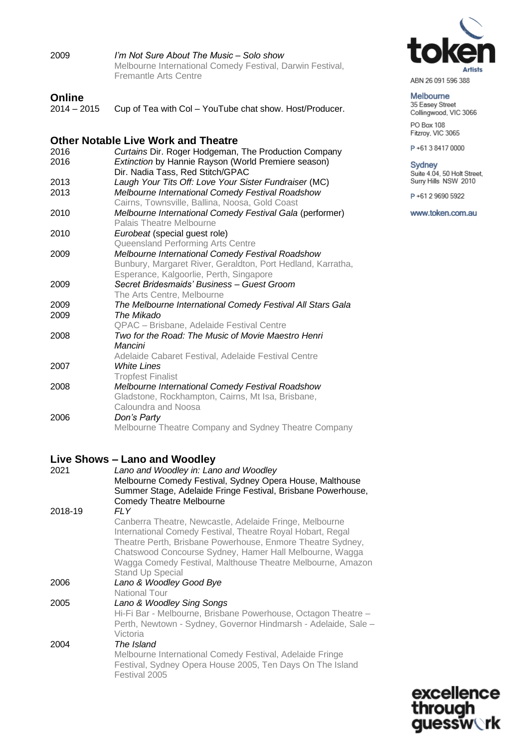| 2009                           | I'm Not Sure About The Music – Solo show<br>Melbourne International Comedy Festival, Darwin Festival,<br>Fremantle Arts Centre |
|--------------------------------|--------------------------------------------------------------------------------------------------------------------------------|
| <b>Online</b><br>$2014 - 2015$ | Cup of Tea with Col - YouTube chat show. Host/Producer.                                                                        |
|                                | <b>Other Notable Live Work and Theatre</b>                                                                                     |
| 2016                           | Curtains Dir. Roger Hodgeman, The Production Company                                                                           |
| 2016                           | Extinction by Hannie Rayson (World Premiere season)                                                                            |
|                                | Dir. Nadia Tass, Red Stitch/GPAC                                                                                               |
| 2013                           | Laugh Your Tits Off: Love Your Sister Fundraiser (MC)                                                                          |
| 2013                           | Melbourne International Comedy Festival Roadshow                                                                               |
|                                | Cairns, Townsville, Ballina, Noosa, Gold Coast                                                                                 |
| 2010                           | Melbourne International Comedy Festival Gala (performer)                                                                       |
|                                | Palais Theatre Melbourne                                                                                                       |
| 2010                           | Eurobeat (special guest role)                                                                                                  |
|                                | Queensland Performing Arts Centre                                                                                              |
| 2009                           | Melbourne International Comedy Festival Roadshow                                                                               |
|                                | Bunbury, Margaret River, Geraldton, Port Hedland, Karratha,                                                                    |
|                                | Esperance, Kalgoorlie, Perth, Singapore                                                                                        |
| 2009                           | Secret Bridesmaids' Business - Guest Groom                                                                                     |
|                                | The Arts Centre, Melbourne                                                                                                     |
| 2009                           | The Melbourne International Comedy Festival All Stars Gala<br>The Mikado                                                       |
| 2009                           | QPAC - Brisbane, Adelaide Festival Centre                                                                                      |
| 2008                           | Two for the Road: The Music of Movie Maestro Henri                                                                             |
|                                | Mancini                                                                                                                        |
|                                | Adelaide Cabaret Festival, Adelaide Festival Centre                                                                            |
| 2007                           | <b>White Lines</b>                                                                                                             |
|                                | <b>Tropfest Finalist</b>                                                                                                       |
| 2008                           | Melbourne International Comedy Festival Roadshow                                                                               |
|                                | Gladstone, Rockhampton, Cairns, Mt Isa, Brisbane,                                                                              |
|                                | Caloundra and Noosa                                                                                                            |
| 2006                           | Don's Party                                                                                                                    |
|                                | Melbourne Theatre Company and Sydney Theatre Company                                                                           |
|                                |                                                                                                                                |
|                                |                                                                                                                                |

# **Live Shows – Lano and Woodley**

| 2021    | Lano and Woodley in: Lano and Woodley<br>Melbourne Comedy Festival, Sydney Opera House, Malthouse<br>Summer Stage, Adelaide Fringe Festival, Brisbane Powerhouse,<br><b>Comedy Theatre Melbourne</b>                                                                                                                                    |
|---------|-----------------------------------------------------------------------------------------------------------------------------------------------------------------------------------------------------------------------------------------------------------------------------------------------------------------------------------------|
| 2018-19 | FL Y                                                                                                                                                                                                                                                                                                                                    |
|         | Canberra Theatre, Newcastle, Adelaide Fringe, Melbourne<br>International Comedy Festival, Theatre Royal Hobart, Regal<br>Theatre Perth, Brisbane Powerhouse, Enmore Theatre Sydney,<br>Chatswood Concourse Sydney, Hamer Hall Melbourne, Wagga<br>Wagga Comedy Festival, Malthouse Theatre Melbourne, Amazon<br><b>Stand Up Special</b> |
| 2006    | Lano & Woodley Good Bye<br>National Tour                                                                                                                                                                                                                                                                                                |
| 2005    | Lano & Woodley Sing Songs                                                                                                                                                                                                                                                                                                               |
|         | Hi-Fi Bar - Melbourne, Brisbane Powerhouse, Octagon Theatre -<br>Perth, Newtown - Sydney, Governor Hindmarsh - Adelaide, Sale -<br>Victoria                                                                                                                                                                                             |
| 2004    | The Island<br>Melbourne International Comedy Festival, Adelaide Fringe<br>Festival, Sydney Opera House 2005, Ten Days On The Island<br>Festival 2005                                                                                                                                                                                    |



Melbourne 35 Easey Street<br>Collingwood, VIC 3066

PO Box 108<br>Fitzroy, VIC 3065

P+61384170000

Sydney<br>Suite 4.04, 50 Holt Street,<br>Surry Hills NSW 2010

P+61 2 9690 5922

www.token.com.au

excellence<br>through<br>guessw**ork**